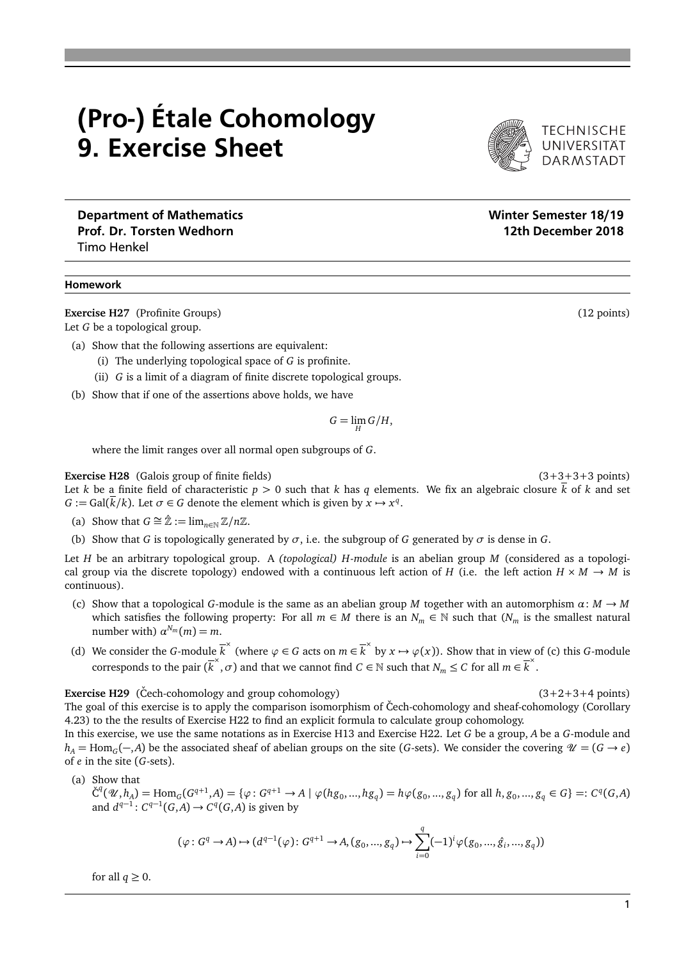1

## (Pro-) Étale Cohomology 9. Exercise Sheet

Department of Mathematics Winter Semester 18/19 and N Prof. Dr. Torsten Wedhorn Timo Henkel

## Homework

**Exercise H27** (Profinite Groups) (12 points) (12 points) Let *G* be a topological group.

- (a) Show that the following assertions are equivalent:
	- (i) The underlying topological space of *G* is profinite.
	- (ii) *G* is a limit of a diagram of finite discrete topological groups.
- (b) Show that if one of the assertions above holds, we have

where the limit ranges over all normal open subgroups of *G*.

## **Exercise H28** (Galois group of finite fields) (3+3+3+3 points)

Let *k* be a finite field of characteristic  $p > 0$  such that *k* has *q* elements. We fix an algebraic closure *k* of *k* and set *G* := Gal( $\overline{k}/k$ ). Let  $\sigma \in G$  denote the element which is given by  $x \mapsto x^q$ .

Let *H* be an arbitrary topological group. A *(topological) H-module* is an abelian group *M* (considered as a topological group via the discrete topology) endowed with a continuous left action of *H* (i.e. the left action  $H \times M \to M$  is continuous).

- which satisfies the following property: For all  $m \in M$  there is an  $N_m \in \mathbb{N}$  such that  $(N_m$  is the smallest natural number with) *α*
- (d) We consider the *G*-module  $\overline{k}^*$  (where  $\varphi \in G$  acts on  $m \in \overline{k}^*$  by  $x \mapsto \varphi(x)$ ). Show that in view of (c) this *G*-module corresponds to the pair  $(\overline{k}^*, \sigma)$  and that we cannot find  $C \in \mathbb{N}$  such that  $N_m \leq C$  for all  $m \in \overline{k}^*$ .

**Exercise H29** (Cech-cohomology and group cohomology)  $(3+2+3+4$  points)

The goal of this exercise is to apply the comparison isomorphism of Čech-cohomology and sheaf-cohomology (Corollary 4.23) to the the results of Exercise H22 to find an explicit formula to calculate group cohomology.

In this exercise, we use the same notations as in Exercise H13 and Exercise H22. Let *G* be a group, *A* be a *G*-module and  $h_A$  = Hom<sub>*G*</sub>(−,*A*) be the associated sheaf of abelian groups on the site (*G*-sets). We consider the covering  $\mathcal{U} = (G \rightarrow e)$ of *e* in the site (*G*-sets).

(a) Show that

 $\check{C}^q(\mathcal{U},h_A) = \text{Hom}_G(G^{q+1},A) = \{ \varphi: G^{q+1} \to A \mid \varphi(hg_0,...,hg_q) = h\varphi(g_0,...,g_q) \text{ for all } h,g_0,...,g_q \in G \} =: C^q(G,A)$ and  $d^{q-1}: C^{q-1}(G,A) \to C^q(G,A)$  is given by

$$
(\varphi: G^q \to A) \mapsto (d^{q-1}(\varphi): G^{q+1} \to A, (g_0, ..., g_q) \mapsto \sum_{i=0}^q (-1)^i \varphi(g_0, ..., \hat{g_i}, ..., g_q))
$$

for all  $q \geq 0$ .

(a) Show that  $G \cong \hat{\mathbb{Z}} := \lim_{n \in \mathbb{N}} \mathbb{Z}/n\mathbb{Z}$ . (b) Show that *G* is topologically generated by  $\sigma$ , i.e. the subgroup of *G* generated by  $\sigma$  is dense in *G*.

Let *H* be an arbitrary topological group. A *(topological) H*-module is an abelian group *M* (considered as a topolcal group via the discrete topology) endowed with a continuous left action of *H* (i.e. the left action 
$$
H \times M \to M
$$
 continuous).

(c) Show that a topological *G*-module is the same as an abelian group *M* together with an automorphism 
$$
\alpha: M \to M
$$
 which satisfies the following property: For all  $m \in M$  there is an  $N_m \in \mathbb{N}$  such that  $(N_m)$  is the smallest natural number with  $\alpha^{N_m}(m) = m$ .

which satisfies the following property: For all 
$$
m \in M
$$
 there is an  $N_m \in \mathbb{N}$  such that  $(N_m$  is the smallest natural number with)  $\alpha^{N_m}(m) = m$ .

$$
G=\lim_H G/H,
$$

**TECHNISCHE**